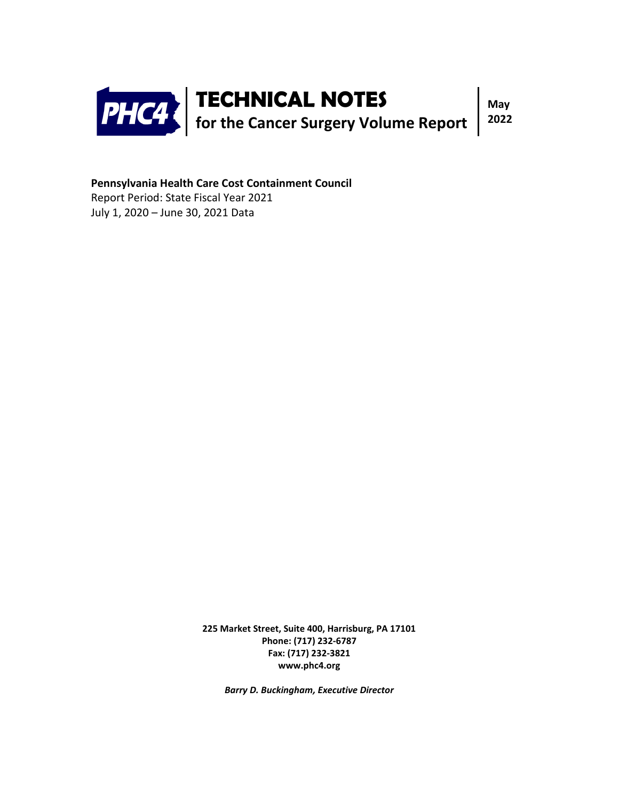

**Pennsylvania Health Care Cost Containment Council**

Report Period: State Fiscal Year 2021 July 1, 2020 – June 30, 2021 Data

> **225 Market Street, Suite 400, Harrisburg, PA 17101 Phone: (717) 232-6787 Fax: (717) 232-3821 www.phc4.org**

> > *Barry D. Buckingham, Executive Director*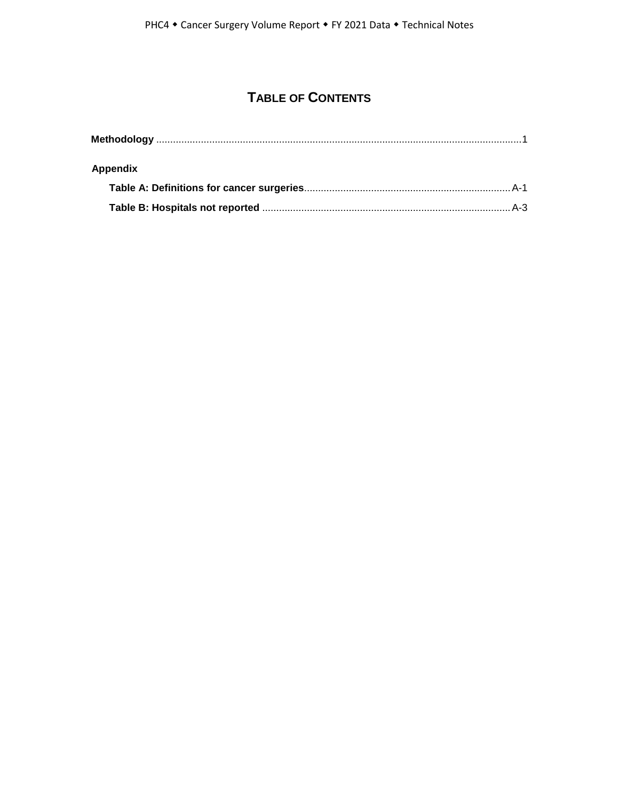# **TABLE OF CONTENTS**

| Appendix |  |
|----------|--|
|          |  |
|          |  |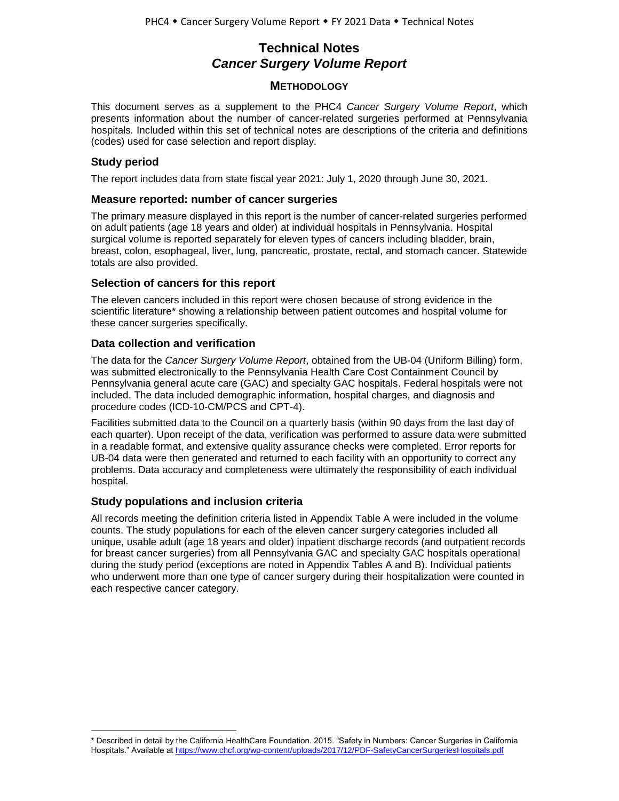# **Technical Notes** *Cancer Surgery Volume Report*

## **METHODOLOGY**

This document serves as a supplement to the PHC4 *Cancer Surgery Volume Report*, which presents information about the number of cancer-related surgeries performed at Pennsylvania hospitals*.* Included within this set of technical notes are descriptions of the criteria and definitions (codes) used for case selection and report display.

## **Study period**

 $\overline{a}$ 

The report includes data from state fiscal year 2021: July 1, 2020 through June 30, 2021.

## **Measure reported: number of cancer surgeries**

The primary measure displayed in this report is the number of cancer-related surgeries performed on adult patients (age 18 years and older) at individual hospitals in Pennsylvania. Hospital surgical volume is reported separately for eleven types of cancers including bladder, brain, breast, colon, esophageal, liver, lung, pancreatic, prostate, rectal, and stomach cancer. Statewide totals are also provided.

## **Selection of cancers for this report**

The eleven cancers included in this report were chosen because of strong evidence in the scientific literature\* showing a relationship between patient outcomes and hospital volume for these cancer surgeries specifically.

## **Data collection and verification**

The data for the *Cancer Surgery Volume Report*, obtained from the UB-04 (Uniform Billing) form, was submitted electronically to the Pennsylvania Health Care Cost Containment Council by Pennsylvania general acute care (GAC) and specialty GAC hospitals. Federal hospitals were not included. The data included demographic information, hospital charges, and diagnosis and procedure codes (ICD-10-CM/PCS and CPT-4).

Facilities submitted data to the Council on a quarterly basis (within 90 days from the last day of each quarter). Upon receipt of the data, verification was performed to assure data were submitted in a readable format, and extensive quality assurance checks were completed. Error reports for UB-04 data were then generated and returned to each facility with an opportunity to correct any problems. Data accuracy and completeness were ultimately the responsibility of each individual hospital.

## **Study populations and inclusion criteria**

All records meeting the definition criteria listed in Appendix Table A were included in the volume counts. The study populations for each of the eleven cancer surgery categories included all unique, usable adult (age 18 years and older) inpatient discharge records (and outpatient records for breast cancer surgeries) from all Pennsylvania GAC and specialty GAC hospitals operational during the study period (exceptions are noted in Appendix Tables A and B). Individual patients who underwent more than one type of cancer surgery during their hospitalization were counted in each respective cancer category.

<sup>\*</sup> Described in detail by the California HealthCare Foundation. 2015. "Safety in Numbers: Cancer Surgeries in California Hospitals." Available at <https://www.chcf.org/wp-content/uploads/2017/12/PDF-SafetyCancerSurgeriesHospitals.pdf>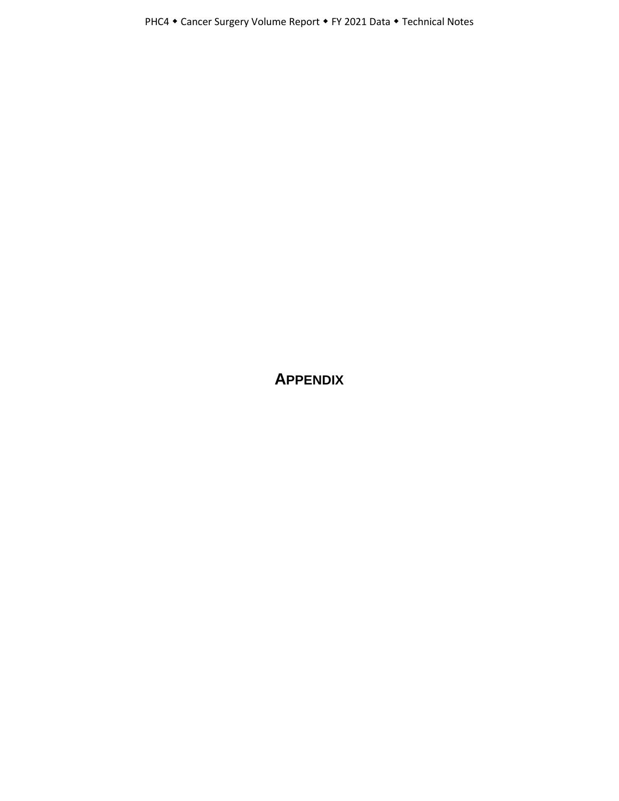**APPENDIX**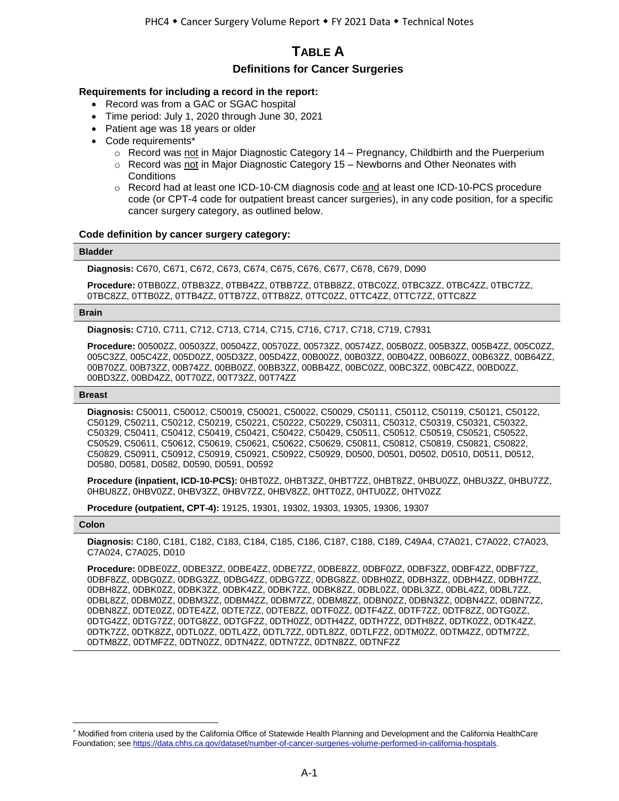# **TABLE A**

## **Definitions for Cancer Surgeries**

### **Requirements for including a record in the report:**

- Record was from a GAC or SGAC hospital
- Time period: July 1, 2020 through June 30, 2021
- Patient age was 18 years or older
- Code requirements\*
	- $\circ$  Record was not in Major Diagnostic Category 14 Pregnancy, Childbirth and the Puerperium
	- $\circ$  Record was not in Major Diagnostic Category 15 Newborns and Other Neonates with **Conditions**
	- o Record had at least one ICD-10-CM diagnosis code and at least one ICD-10-PCS procedure code (or CPT-4 code for outpatient breast cancer surgeries), in any code position, for a specific cancer surgery category, as outlined below.

#### **Code definition by cancer surgery category:**

#### **Bladder**

**Diagnosis:** C670, C671, C672, C673, C674, C675, C676, C677, C678, C679, D090

**Procedure:** 0TBB0ZZ, 0TBB3ZZ, 0TBB4ZZ, 0TBB7ZZ, 0TBB8ZZ, 0TBC0ZZ, 0TBC3ZZ, 0TBC4ZZ, 0TBC7ZZ, 0TBC8ZZ, 0TTB0ZZ, 0TTB4ZZ, 0TTB7ZZ, 0TTB8ZZ, 0TTC0ZZ, 0TTC4ZZ, 0TTC7ZZ, 0TTC8ZZ

#### **Brain**

**Diagnosis:** C710, C711, C712, C713, C714, C715, C716, C717, C718, C719, C7931

**Procedure:** 00500ZZ, 00503ZZ, 00504ZZ, 00570ZZ, 00573ZZ, 00574ZZ, 005B0ZZ, 005B3ZZ, 005B4ZZ, 005C0ZZ, 005C3ZZ, 005C4ZZ, 005D0ZZ, 005D3ZZ, 005D4ZZ, 00B00ZZ, 00B03ZZ, 00B04ZZ, 00B60ZZ, 00B63ZZ, 00B64ZZ, 00B70ZZ, 00B73ZZ, 00B74ZZ, 00BB0ZZ, 00BB3ZZ, 00BB4ZZ, 00BC0ZZ, 00BC3ZZ, 00BC4ZZ, 00BD0ZZ, 00BD3ZZ, 00BD4ZZ, 00T70ZZ, 00T73ZZ, 00T74ZZ

#### **Breast**

**Diagnosis:** C50011, C50012, C50019, C50021, C50022, C50029, C50111, C50112, C50119, C50121, C50122, C50129, C50211, C50212, C50219, C50221, C50222, C50229, C50311, C50312, C50319, C50321, C50322, C50329, C50411, C50412, C50419, C50421, C50422, C50429, C50511, C50512, C50519, C50521, C50522, C50529, C50611, C50612, C50619, C50621, C50622, C50629, C50811, C50812, C50819, C50821, C50822, C50829, C50911, C50912, C50919, C50921, C50922, C50929, D0500, D0501, D0502, D0510, D0511, D0512, D0580, D0581, D0582, D0590, D0591, D0592

**Procedure (inpatient, ICD-10-PCS):** 0HBT0ZZ, 0HBT3ZZ, 0HBT7ZZ, 0HBT8ZZ, 0HBU0ZZ, 0HBU3ZZ, 0HBU7ZZ, 0HBU8ZZ, 0HBV0ZZ, 0HBV3ZZ, 0HBV7ZZ, 0HBV8ZZ, 0HTT0ZZ, 0HTU0ZZ, 0HTV0ZZ

**Procedure (outpatient, CPT-4):** 19125, 19301, 19302, 19303, 19305, 19306, 19307

#### **Colon**

 $\overline{a}$ 

**Diagnosis:** C180, C181, C182, C183, C184, C185, C186, C187, C188, C189, C49A4, C7A021, C7A022, C7A023, C7A024, C7A025, D010

**Procedure:** 0DBE0ZZ, 0DBE3ZZ, 0DBE4ZZ, 0DBE7ZZ, 0DBE8ZZ, 0DBF0ZZ, 0DBF3ZZ, 0DBF4ZZ, 0DBF7ZZ, 0DBF8ZZ, 0DBG0ZZ, 0DBG3ZZ, 0DBG4ZZ, 0DBG7ZZ, 0DBG8ZZ, 0DBH0ZZ, 0DBH3ZZ, 0DBH4ZZ, 0DBH7ZZ, 0DBH8ZZ, 0DBK0ZZ, 0DBK3ZZ, 0DBK4ZZ, 0DBK7ZZ, 0DBK8ZZ, 0DBL0ZZ, 0DBL3ZZ, 0DBL4ZZ, 0DBL7ZZ, 0DBL8ZZ, 0DBM0ZZ, 0DBM3ZZ, 0DBM4ZZ, 0DBM7ZZ, 0DBM8ZZ, 0DBN0ZZ, 0DBN3ZZ, 0DBN4ZZ, 0DBN7ZZ, 0DBN8ZZ, 0DTE0ZZ, 0DTE4ZZ, 0DTE7ZZ, 0DTE8ZZ, 0DTF0ZZ, 0DTF4ZZ, 0DTF7ZZ, 0DTF8ZZ, 0DTG0ZZ, 0DTG4ZZ, 0DTG7ZZ, 0DTG8ZZ, 0DTGFZZ, 0DTH0ZZ, 0DTH4ZZ, 0DTH7ZZ, 0DTH8ZZ, 0DTK0ZZ, 0DTK4ZZ, 0DTK7ZZ, 0DTK8ZZ, 0DTL0ZZ, 0DTL4ZZ, 0DTL7ZZ, 0DTL8ZZ, 0DTLFZZ, 0DTM0ZZ, 0DTM4ZZ, 0DTM7ZZ, 0DTM8ZZ, 0DTMFZZ, 0DTN0ZZ, 0DTN4ZZ, 0DTN7ZZ, 0DTN8ZZ, 0DTNFZZ

<sup>\*</sup> Modified from criteria used by the California Office of Statewide Health Planning and Development and the California HealthCare Foundation; se[e https://data.chhs.ca.gov/dataset/number-of-cancer-surgeries-volume-performed-in-california-hospitals.](https://data.chhs.ca.gov/dataset/number-of-cancer-surgeries-volume-performed-in-california-hospitals)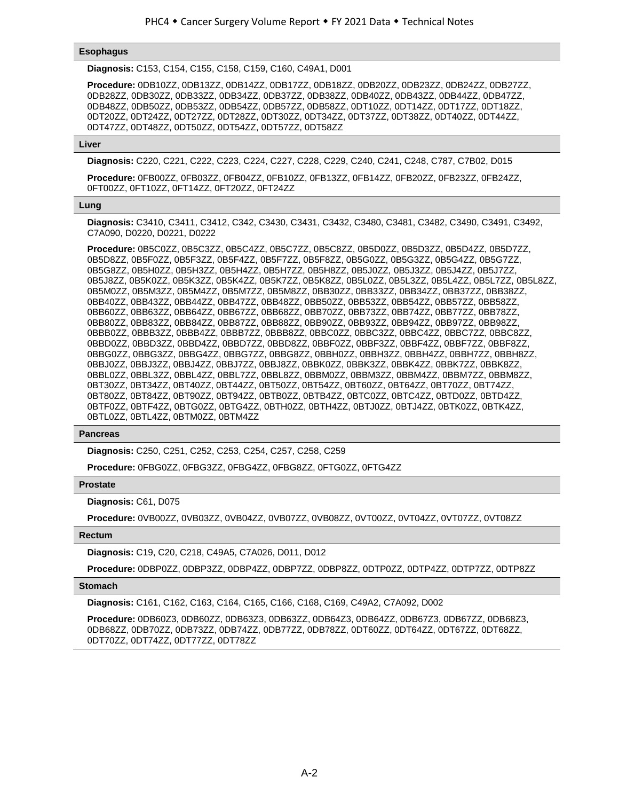#### **Esophagus**

**Diagnosis:** C153, C154, C155, C158, C159, C160, C49A1, D001

**Procedure:** 0DB10ZZ, 0DB13ZZ, 0DB14ZZ, 0DB17ZZ, 0DB18ZZ, 0DB20ZZ, 0DB23ZZ, 0DB24ZZ, 0DB27ZZ, 0DB28ZZ, 0DB30ZZ, 0DB33ZZ, 0DB34ZZ, 0DB37ZZ, 0DB38ZZ, 0DB40ZZ, 0DB43ZZ, 0DB44ZZ, 0DB47ZZ, 0DB48ZZ, 0DB50ZZ, 0DB53ZZ, 0DB54ZZ, 0DB57ZZ, 0DB58ZZ, 0DT10ZZ, 0DT14ZZ, 0DT17ZZ, 0DT18ZZ, 0DT20ZZ, 0DT24ZZ, 0DT27ZZ, 0DT28ZZ, 0DT30ZZ, 0DT34ZZ, 0DT37ZZ, 0DT38ZZ, 0DT40ZZ, 0DT44ZZ, 0DT47ZZ, 0DT48ZZ, 0DT50ZZ, 0DT54ZZ, 0DT57ZZ, 0DT58ZZ

#### **Liver**

**Diagnosis:** C220, C221, C222, C223, C224, C227, C228, C229, C240, C241, C248, C787, C7B02, D015

**Procedure:** 0FB00ZZ, 0FB03ZZ, 0FB04ZZ, 0FB10ZZ, 0FB13ZZ, 0FB14ZZ, 0FB20ZZ, 0FB23ZZ, 0FB24ZZ, 0FT00ZZ, 0FT10ZZ, 0FT14ZZ, 0FT20ZZ, 0FT24ZZ

#### **Lung**

**Diagnosis:** C3410, C3411, C3412, C342, C3430, C3431, C3432, C3480, C3481, C3482, C3490, C3491, C3492, C7A090, D0220, D0221, D0222

**Procedure:** 0B5C0ZZ, 0B5C3ZZ, 0B5C4ZZ, 0B5C7ZZ, 0B5C8ZZ, 0B5D0ZZ, 0B5D3ZZ, 0B5D4ZZ, 0B5D7ZZ, 0B5D8ZZ, 0B5F0ZZ, 0B5F3ZZ, 0B5F4ZZ, 0B5F7ZZ, 0B5F8ZZ, 0B5G0ZZ, 0B5G3ZZ, 0B5G4ZZ, 0B5G7ZZ, 0B5G8ZZ, 0B5H0ZZ, 0B5H3ZZ, 0B5H4ZZ, 0B5H7ZZ, 0B5H8ZZ, 0B5J0ZZ, 0B5J3ZZ, 0B5J4ZZ, 0B5J7ZZ, 0B5J8ZZ, 0B5K0ZZ, 0B5K3ZZ, 0B5K4ZZ, 0B5K7ZZ, 0B5K8ZZ, 0B5L0ZZ, 0B5L3ZZ, 0B5L4ZZ, 0B5L7ZZ, 0B5L8ZZ, 0B5M0ZZ, 0B5M3ZZ, 0B5M4ZZ, 0B5M7ZZ, 0B5M8ZZ, 0BB30ZZ, 0BB33ZZ, 0BB34ZZ, 0BB37ZZ, 0BB38ZZ, 0BB40ZZ, 0BB43ZZ, 0BB44ZZ, 0BB47ZZ, 0BB48ZZ, 0BB50ZZ, 0BB53ZZ, 0BB54ZZ, 0BB57ZZ, 0BB58ZZ, 0BB60ZZ, 0BB63ZZ, 0BB64ZZ, 0BB67ZZ, 0BB68ZZ, 0BB70ZZ, 0BB73ZZ, 0BB74ZZ, 0BB77ZZ, 0BB78ZZ, 0BB80ZZ, 0BB83ZZ, 0BB84ZZ, 0BB87ZZ, 0BB88ZZ, 0BB90ZZ, 0BB93ZZ, 0BB94ZZ, 0BB97ZZ, 0BB98ZZ, 0BBB0ZZ, 0BBB3ZZ, 0BBB4ZZ, 0BBB7ZZ, 0BBB8ZZ, 0BBC0ZZ, 0BBC3ZZ, 0BBC4ZZ, 0BBC7ZZ, 0BBC8ZZ, 0BBD0ZZ, 0BBD3ZZ, 0BBD4ZZ, 0BBD7ZZ, 0BBD8ZZ, 0BBF0ZZ, 0BBF3ZZ, 0BBF4ZZ, 0BBF7ZZ, 0BBF8ZZ, 0BBG0ZZ, 0BBG3ZZ, 0BBG4ZZ, 0BBG7ZZ, 0BBG8ZZ, 0BBH0ZZ, 0BBH3ZZ, 0BBH4ZZ, 0BBH7ZZ, 0BBH8ZZ, 0BBJ0ZZ, 0BBJ3ZZ, 0BBJ4ZZ, 0BBJ7ZZ, 0BBJ8ZZ, 0BBK0ZZ, 0BBK3ZZ, 0BBK4ZZ, 0BBK7ZZ, 0BBK8ZZ, 0BBL0ZZ, 0BBL3ZZ, 0BBL4ZZ, 0BBL7ZZ, 0BBL8ZZ, 0BBM0ZZ, 0BBM3ZZ, 0BBM4ZZ, 0BBM7ZZ, 0BBM8ZZ, 0BT30ZZ, 0BT34ZZ, 0BT40ZZ, 0BT44ZZ, 0BT50ZZ, 0BT54ZZ, 0BT60ZZ, 0BT64ZZ, 0BT70ZZ, 0BT74ZZ, 0BT80ZZ, 0BT84ZZ, 0BT90ZZ, 0BT94ZZ, 0BTB0ZZ, 0BTB4ZZ, 0BTC0ZZ, 0BTC4ZZ, 0BTD0ZZ, 0BTD4ZZ, 0BTF0ZZ, 0BTF4ZZ, 0BTG0ZZ, 0BTG4ZZ, 0BTH0ZZ, 0BTH4ZZ, 0BTJ0ZZ, 0BTJ4ZZ, 0BTK0ZZ, 0BTK4ZZ, 0BTL0ZZ, 0BTL4ZZ, 0BTM0ZZ, 0BTM4ZZ

#### **Pancreas**

**Diagnosis:** C250, C251, C252, C253, C254, C257, C258, C259

**Procedure:** 0FBG0ZZ, 0FBG3ZZ, 0FBG4ZZ, 0FBG8ZZ, 0FTG0ZZ, 0FTG4ZZ

#### **Prostate**

**Diagnosis:** C61, D075

**Procedure:** 0VB00ZZ, 0VB03ZZ, 0VB04ZZ, 0VB07ZZ, 0VB08ZZ, 0VT00ZZ, 0VT04ZZ, 0VT07ZZ, 0VT08ZZ

#### **Rectum**

**Diagnosis:** C19, C20, C218, C49A5, C7A026, D011, D012

**Procedure:** 0DBP0ZZ, 0DBP3ZZ, 0DBP4ZZ, 0DBP7ZZ, 0DBP8ZZ, 0DTP0ZZ, 0DTP4ZZ, 0DTP7ZZ, 0DTP8ZZ

#### **Stomach**

**Diagnosis:** C161, C162, C163, C164, C165, C166, C168, C169, C49A2, C7A092, D002

**Procedure:** 0DB60Z3, 0DB60ZZ, 0DB63Z3, 0DB63ZZ, 0DB64Z3, 0DB64ZZ, 0DB67Z3, 0DB67ZZ, 0DB68Z3, 0DB68ZZ, 0DB70ZZ, 0DB73ZZ, 0DB74ZZ, 0DB77ZZ, 0DB78ZZ, 0DT60ZZ, 0DT64ZZ, 0DT67ZZ, 0DT68ZZ, 0DT70ZZ, 0DT74ZZ, 0DT77ZZ, 0DT78ZZ